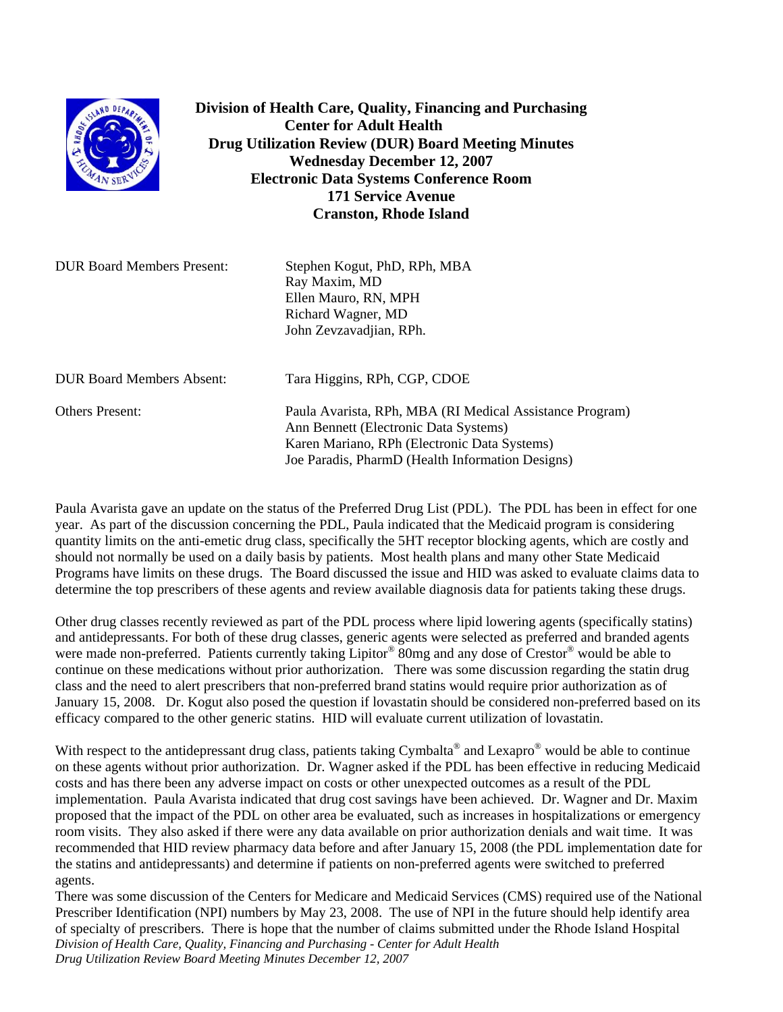

**Division of Health Care, Quality, Financing and Purchasing Center for Adult Health Drug Utilization Review (DUR) Board Meeting Minutes Wednesday December 12, 2007 Electronic Data Systems Conference Room 171 Service Avenue Cranston, Rhode Island** 

| <b>DUR Board Members Present:</b> | Stephen Kogut, PhD, RPh, MBA<br>Ray Maxim, MD<br>Ellen Mauro, RN, MPH<br>Richard Wagner, MD |
|-----------------------------------|---------------------------------------------------------------------------------------------|
| <b>DUR Board Members Absent:</b>  | John Zevzavadjian, RPh.<br>Tara Higgins, RPh, CGP, CDOE                                     |
| Others Present:                   | Paula Avarista, RPh, MBA (RI Medical Assistance Program)                                    |

Paula Avarista gave an update on the status of the Preferred Drug List (PDL). The PDL has been in effect for one year. As part of the discussion concerning the PDL, Paula indicated that the Medicaid program is considering quantity limits on the anti-emetic drug class, specifically the 5HT receptor blocking agents, which are costly and should not normally be used on a daily basis by patients. Most health plans and many other State Medicaid Programs have limits on these drugs. The Board discussed the issue and HID was asked to evaluate claims data to determine the top prescribers of these agents and review available diagnosis data for patients taking these drugs.

Ann Bennett (Electronic Data Systems)

 Karen Mariano, RPh (Electronic Data Systems) Joe Paradis, PharmD (Health Information Designs)

Other drug classes recently reviewed as part of the PDL process where lipid lowering agents (specifically statins) and antidepressants. For both of these drug classes, generic agents were selected as preferred and branded agents were made non-preferred. Patients currently taking Lipitor® 80mg and any dose of Crestor® would be able to continue on these medications without prior authorization. There was some discussion regarding the statin drug class and the need to alert prescribers that non-preferred brand statins would require prior authorization as of January 15, 2008. Dr. Kogut also posed the question if lovastatin should be considered non-preferred based on its efficacy compared to the other generic statins. HID will evaluate current utilization of lovastatin.

With respect to the antidepressant drug class, patients taking Cymbalta<sup>®</sup> and Lexapro<sup>®</sup> would be able to continue on these agents without prior authorization. Dr. Wagner asked if the PDL has been effective in reducing Medicaid costs and has there been any adverse impact on costs or other unexpected outcomes as a result of the PDL implementation. Paula Avarista indicated that drug cost savings have been achieved. Dr. Wagner and Dr. Maxim proposed that the impact of the PDL on other area be evaluated, such as increases in hospitalizations or emergency room visits. They also asked if there were any data available on prior authorization denials and wait time. It was recommended that HID review pharmacy data before and after January 15, 2008 (the PDL implementation date for the statins and antidepressants) and determine if patients on non-preferred agents were switched to preferred agents.

*Division of Health Care, Quality, Financing and Purchasing - Center for Adult Health Drug Utilization Review Board Meeting Minutes December 12, 2007*  There was some discussion of the Centers for Medicare and Medicaid Services (CMS) required use of the National Prescriber Identification (NPI) numbers by May 23, 2008. The use of NPI in the future should help identify area of specialty of prescribers. There is hope that the number of claims submitted under the Rhode Island Hospital